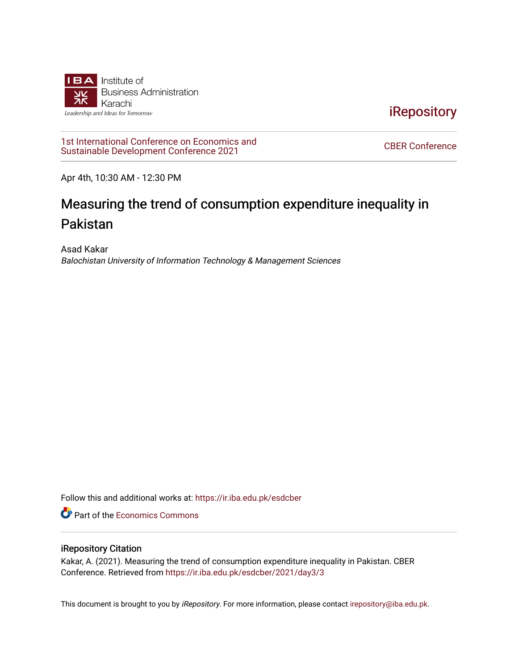

**iRepository** 

[1st International Conference on Economics and](https://ir.iba.edu.pk/esdcber/2021)  TSt international Conference on Economics and<br>Sustainable Development Conference 2021

Apr 4th, 10:30 AM - 12:30 PM

# Measuring the trend of consumption expenditure inequality in Pakistan

Asad Kakar Balochistan University of Information Technology & Management Sciences

Follow this and additional works at: [https://ir.iba.edu.pk/esdcber](https://ir.iba.edu.pk/esdcber?utm_source=ir.iba.edu.pk%2Fesdcber%2F2021%2Fday3%2F3&utm_medium=PDF&utm_campaign=PDFCoverPages) 

**C** Part of the [Economics Commons](http://network.bepress.com/hgg/discipline/340?utm_source=ir.iba.edu.pk%2Fesdcber%2F2021%2Fday3%2F3&utm_medium=PDF&utm_campaign=PDFCoverPages)

#### iRepository Citation

Kakar, A. (2021). Measuring the trend of consumption expenditure inequality in Pakistan. CBER Conference. Retrieved from [https://ir.iba.edu.pk/esdcber/2021/day3/3](https://ir.iba.edu.pk/esdcber/2021/day3/3?utm_source=ir.iba.edu.pk%2Fesdcber%2F2021%2Fday3%2F3&utm_medium=PDF&utm_campaign=PDFCoverPages)

This document is brought to you by *iRepository*. For more information, please contact [irepository@iba.edu.pk](mailto:irepository@iba.edu.pk).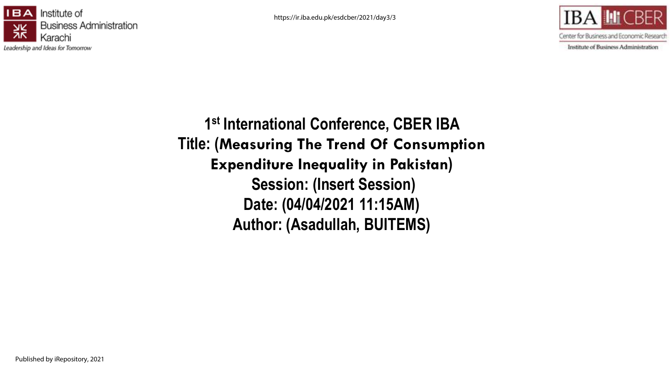https://ir.iba.edu.pk/esdcber/2021/day3/3





Institute of Business Administration

**1 st International Conference, CBER IBA Title: (Measuring The Trend Of Consumption Expenditure Inequality in Pakistan) Session: (Insert Session) Date: (04/04/2021 11:15AM) Author: (Asadullah, BUITEMS)**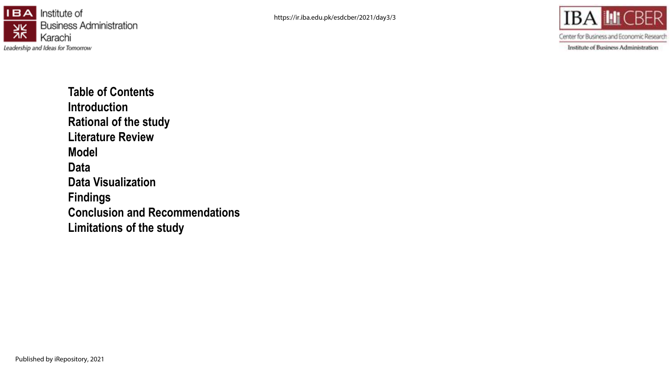



Center for Business and Economic Research

Institute of Business Administration

**Table of Contents Introduction Rational of the study Literature Review Model Data Data Visualization Findings Conclusion and Recommendations Limitations of the study**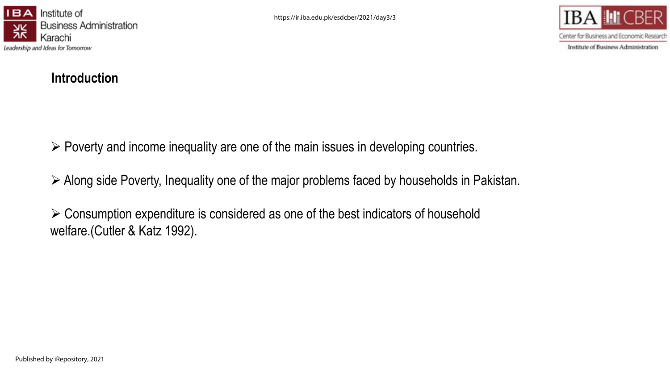



Institute of Business Administration

# **Introduction**

 $\triangleright$  Poverty and income inequality are one of the main issues in developing countries.

Along side Poverty, Inequality one of the major problems faced by households in Pakistan.

 $\triangleright$  Consumption expenditure is considered as one of the best indicators of household welfare.(Cutler & Katz 1992).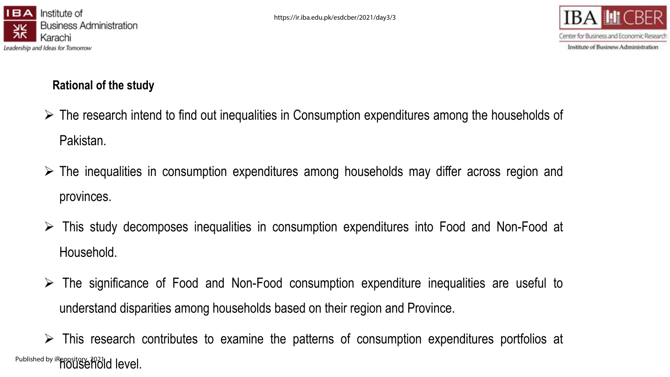



# **Rational of the study**

- $\triangleright$  The research intend to find out inequalities in Consumption expenditures among the households of Pakistan.
- $\triangleright$  The inequalities in consumption expenditures among households may differ across region and provinces.
- This study decomposes inequalities in consumption expenditures into Food and Non-Food at Household.
- $\triangleright$  The significance of Food and Non-Food consumption expenditure inequalities are useful to understand disparities among households based on their region and Province.

 $\triangleright$  This research contributes to examine the patterns of consumption expenditures portfolios at Published by iRepository, 2021d level.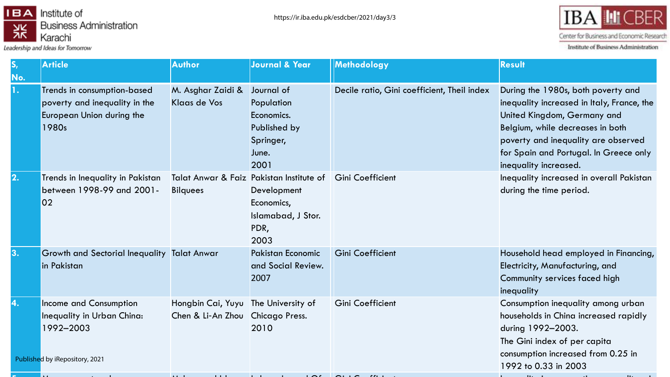

Leadership and Ideas for Tomorrow



Center for Business and Economic Research

Institute of Business Administration

|     | <b>Article</b>                                                                                      | <b>Author</b>                                                           | <b>Journal &amp; Year</b>                                                                                   | Methodology                                 | <b>Result</b>                                                                                                                                                                                                                                                 |
|-----|-----------------------------------------------------------------------------------------------------|-------------------------------------------------------------------------|-------------------------------------------------------------------------------------------------------------|---------------------------------------------|---------------------------------------------------------------------------------------------------------------------------------------------------------------------------------------------------------------------------------------------------------------|
| No. | Trends in consumption-based<br>poverty and inequality in the<br>European Union during the<br>1980s  | M. Asghar Zaidi &<br><b>Klaas de Vos</b>                                | Journal of<br>Population<br>Economics.<br>Published by<br>Springer,<br>June.<br>2001                        | Decile ratio, Gini coefficient, Theil index | During the 1980s, both poverty and<br>inequality increased in Italy, France, the<br>United Kingdom, Germany and<br>Belgium, while decreases in both<br>poverty and inequality are observed<br>for Spain and Portugal. In Greece only<br>inequality increased. |
|     | Trends in Inequality in Pakistan<br>between 1998-99 and 2001-<br>02                                 | <b>Bilquees</b>                                                         | Talat Anwar & Faiz Pakistan Institute of<br>Development<br>Economics,<br>Islamabad, J Stor.<br>PDR,<br>2003 | <b>Gini Coefficient</b>                     | Inequality increased in overall Pakistan<br>during the time period.                                                                                                                                                                                           |
| З.  | <b>Growth and Sectorial Inequality Talat Anwar</b><br>in Pakistan                                   |                                                                         | <b>Pakistan Economic</b><br>and Social Review.<br>2007                                                      | <b>Gini Coefficient</b>                     | Household head employed in Financing,<br>Electricity, Manufacturing, and<br>Community services faced high<br>inequality                                                                                                                                       |
|     | Income and Consumption<br>Inequality in Urban China:<br>1992-2003<br>Published by iRepository, 2021 | Hongbin Cai, Yuyu The University of<br>Chen & Li-An Zhou Chicago Press. | 2010                                                                                                        | Gini Coefficient                            | Consumption inequality among urban<br>households in China increased rapidly<br>during 1992-2003.<br>The Gini index of per capita<br>consumption increased from 0.25 in<br>1992 to 0.33 in 2003                                                                |
|     |                                                                                                     |                                                                         |                                                                                                             |                                             |                                                                                                                                                                                                                                                               |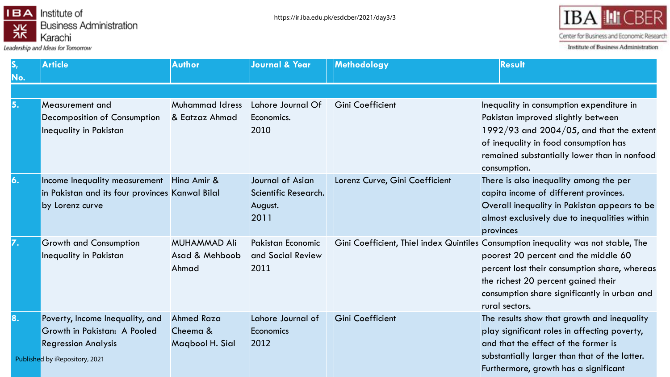

Leadership and Ideas for Tomorrow



Center for Business and Economic Research

Institute of Business Administration

|     | <b>Article</b>                                                                                                                  | <b>Author</b>                                    | <b>Journal &amp; Year</b>                                   | Methodology                    | <b>Result</b>                                                                                                                                                                                                                                                                        |
|-----|---------------------------------------------------------------------------------------------------------------------------------|--------------------------------------------------|-------------------------------------------------------------|--------------------------------|--------------------------------------------------------------------------------------------------------------------------------------------------------------------------------------------------------------------------------------------------------------------------------------|
| No. |                                                                                                                                 |                                                  |                                                             |                                |                                                                                                                                                                                                                                                                                      |
|     |                                                                                                                                 |                                                  |                                                             |                                |                                                                                                                                                                                                                                                                                      |
| 15. | <b>Measurement and</b><br>Decomposition of Consumption<br><b>Inequality in Pakistan</b>                                         | <b>Muhammad Idress</b><br>& Eatzaz Ahmad         | Lahore Journal Of<br>Economics.<br>2010                     | Gini Coefficient               | Inequality in consumption expenditure in<br>Pakistan improved slightly between<br>1992/93 and 2004/05, and that the extent<br>of inequality in food consumption has<br>remained substantially lower than in nonfood<br>consumption.                                                  |
|     | Income Inequality measurement<br>in Pakistan and its four provinces Kanwal Bilal<br>by Lorenz curve                             | Hing Amir &                                      | Journal of Asian<br>Scientific Research.<br>August.<br>2011 | Lorenz Curve, Gini Coefficient | There is also inequality among the per<br>capita income of different provinces.<br>Overall inequality in Pakistan appears to be<br>almost exclusively due to inequalities within<br>provinces                                                                                        |
|     | <b>Growth and Consumption</b><br><b>Inequality in Pakistan</b>                                                                  | <b>MUHAMMAD Ali</b><br>Asad & Mehboob<br>Ahmad   | <b>Pakistan Economic</b><br>and Social Review<br>2011       |                                | Gini Coefficient, Thiel index Quintiles Consumption inequality was not stable, The<br>poorest 20 percent and the middle 60<br>percent lost their consumption share, whereas<br>the richest 20 percent gained their<br>consumption share significantly in urban and<br>rural sectors. |
| 18. | Poverty, Income Inequality, and<br>Growth in Pakistan: A Pooled<br><b>Regression Analysis</b><br>Published by iRepository, 2021 | <b>Ahmed Raza</b><br>Cheema &<br>Magbool H. Sial | Lahore Journal of<br><b>Economics</b><br>2012               | <b>Gini Coefficient</b>        | The results show that growth and inequality<br>play significant roles in affecting poverty,<br>and that the effect of the former is<br>substantially larger than that of the latter.<br>Furthermore, growth has a significant                                                        |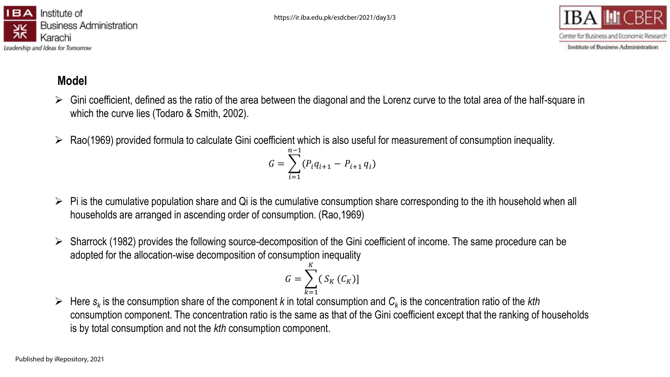



# **Model**

- Gini coefficient, defined as the ratio of the area between the diagonal and the Lorenz curve to the total area of the half-square in which the curve lies (Todaro & Smith, 2002).
- $\triangleright$  Rao(1969) provided formula to calculate Gini coefficient which is also useful for measurement of consumption inequality.

$$
G = \sum_{i=1}^{n-1} (P_i q_{i+1} - P_{i+1} q_i)
$$

- $\triangleright$  Pi is the cumulative population share and Qi is the cumulative consumption share corresponding to the ith household when all households are arranged in ascending order of consumption. (Rao,1969)
- $\triangleright$  Sharrock (1982) provides the following source-decomposition of the Gini coefficient of income. The same procedure can be adopted for the allocation-wise decomposition of consumption inequality

$$
G = \sum_{k=1}^{K} (S_K(C_K))
$$

 Here *s<sup>k</sup>* is the consumption share of the component *k* in total consumption and *C<sup>k</sup>* is the concentration ratio of the *kth* consumption component. The concentration ratio is the same as that of the Gini coefficient except that the ranking of households is by total consumption and not the *kth* consumption component.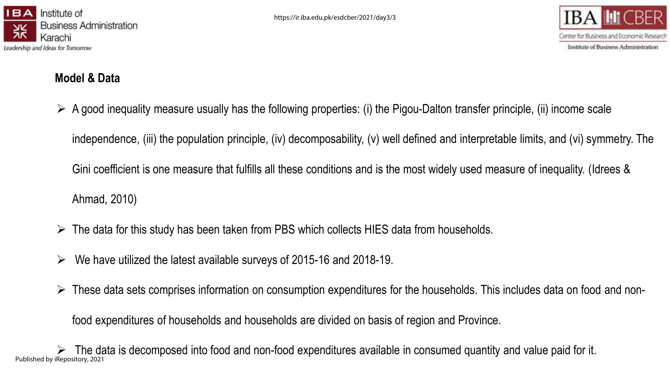



# **Model & Data**

 $\triangleright$  A good inequality measure usually has the following properties: (i) the Pigou-Dalton transfer principle, (ii) income scale

independence, (iii) the population principle, (iv) decomposability, (v) well defined and interpretable limits, and (vi) symmetry. The

Gini coefficient is one measure that fulfills all these conditions and is the most widely used measure of inequality. (Idrees &

Ahmad, 2010)

- $\triangleright$  The data for this study has been taken from PBS which collects HIES data from households.
- $\triangleright$  We have utilized the latest available surveys of 2015-16 and 2018-19.
- $\triangleright$  These data sets comprises information on consumption expenditures for the households. This includes data on food and non-

food expenditures of households and households are divided on basis of region and Province.

 The data is decomposed into food and non-food expenditures available in consumed quantity and value paid for it. Published by iRepository, 2021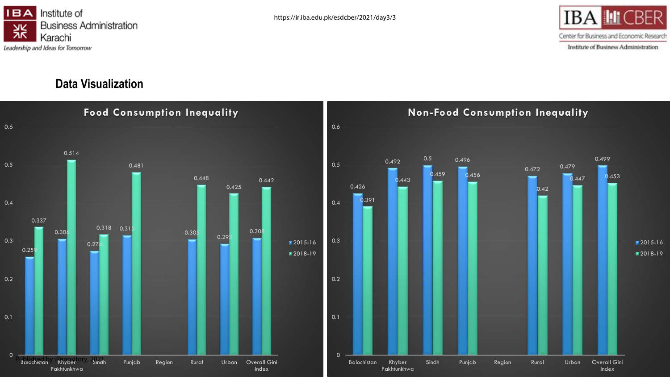



■2015-16

### **Data Visualization**

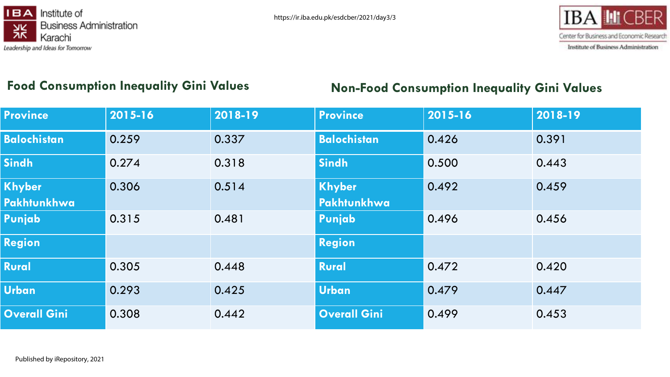



# **Food Consumption Inequality Gini Values Non-Food Consumption Inequality Gini Values**

| <b>Province</b>     | 2015-16 | 2018-19 | <b>Province</b>     | 2015-16 | 2018-19 |
|---------------------|---------|---------|---------------------|---------|---------|
| <b>Balochistan</b>  | 0.259   | 0.337   | <b>Balochistan</b>  | 0.426   | 0.391   |
| <b>Sindh</b>        | 0.274   | 0.318   | <b>Sindh</b>        | 0.500   | 0.443   |
| <b>Khyber</b>       | 0.306   | 0.514   | Khyber              | 0.492   | 0.459   |
| Pakhtunkhwa         |         |         | <b>Pakhtunkhwa</b>  |         |         |
| Punjab              | 0.315   | 0.481   | Punjab              | 0.496   | 0.456   |
| <b>Region</b>       |         |         | <b>Region</b>       |         |         |
| <b>Rural</b>        | 0.305   | 0.448   | <b>Rural</b>        | 0.472   | 0.420   |
| <b>Urban</b>        | 0.293   | 0.425   | <b>Urban</b>        | 0.479   | 0.447   |
| <b>Overall Gini</b> | 0.308   | 0.442   | <b>Overall Gini</b> | 0.499   | 0.453   |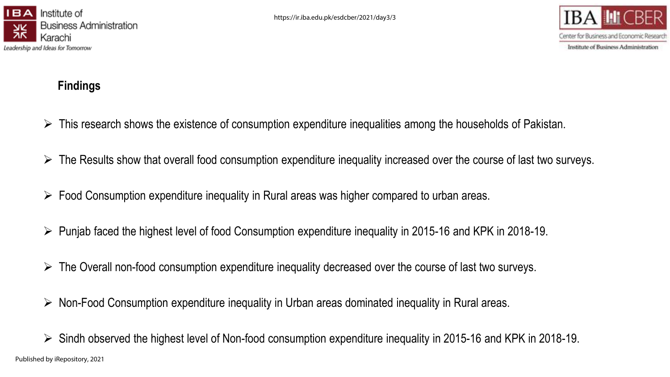



## **Findings**

- $\triangleright$  This research shows the existence of consumption expenditure inequalities among the households of Pakistan.
- $\triangleright$  The Results show that overall food consumption expenditure inequality increased over the course of last two surveys.
- $\triangleright$  Food Consumption expenditure inequality in Rural areas was higher compared to urban areas.
- $\triangleright$  Punjab faced the highest level of food Consumption expenditure inequality in 2015-16 and KPK in 2018-19.
- $\triangleright$  The Overall non-food consumption expenditure inequality decreased over the course of last two surveys.
- $\triangleright$  Non-Food Consumption expenditure inequality in Urban areas dominated inequality in Rural areas.
- $\triangleright$  Sindh observed the highest level of Non-food consumption expenditure inequality in 2015-16 and KPK in 2018-19. Published by iRepository, 2021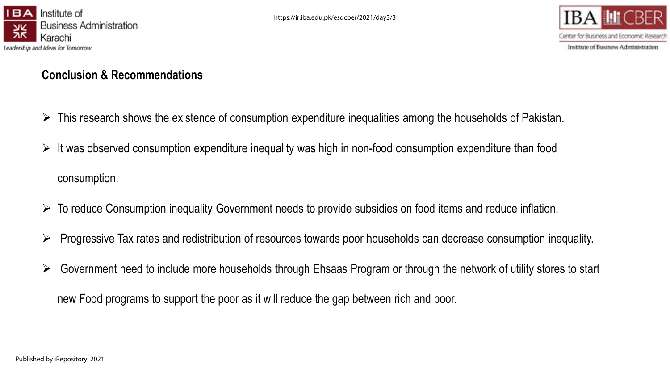



#### **Conclusion & Recommendations**

- $\triangleright$  This research shows the existence of consumption expenditure inequalities among the households of Pakistan.
- $\triangleright$  It was observed consumption expenditure inequality was high in non-food consumption expenditure than food consumption.
- $\triangleright$  To reduce Consumption inequality Government needs to provide subsidies on food items and reduce inflation.
- $\triangleright$  Progressive Tax rates and redistribution of resources towards poor households can decrease consumption inequality.
- $\triangleright$  Government need to include more households through Ehsaas Program or through the network of utility stores to start

new Food programs to support the poor as it will reduce the gap between rich and poor.